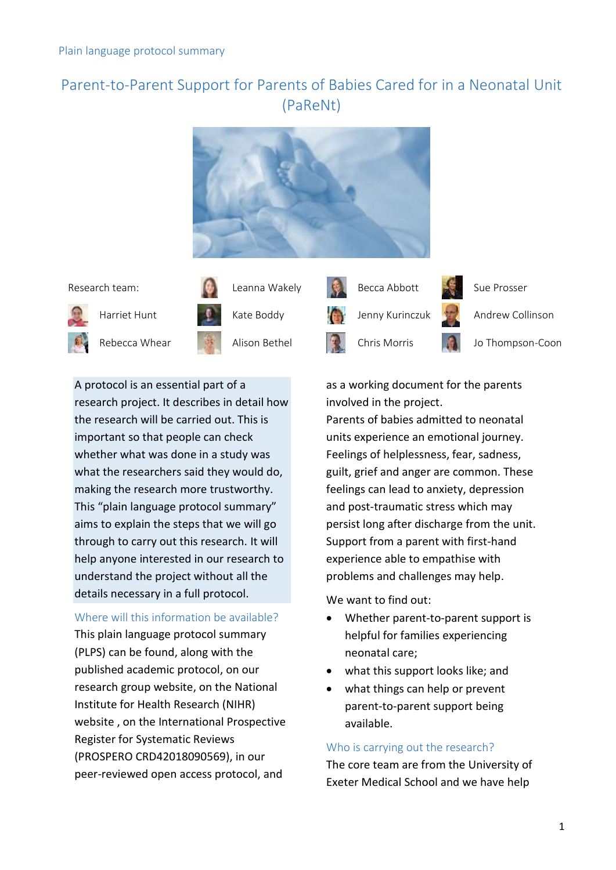# Parent-to-Parent Support for Parents of Babies Cared for in a Neonatal Unit (PaReNt)





Rebecca Whear **Alison Bethel Chris Morris John Jo Thompson-Coon** 





A protocol is an essential part of a research project. It describes in detail how the research will be carried out. This is important so that people can check whether what was done in a study was what the researchers said they would do, making the research more trustworthy. This "plain language protocol summary" aims to explain the steps that we will go through to carry out this research. It will help anyone interested in our research to understand the project without all the details necessary in a full protocol.

# Where will this information be available?

This plain language protocol summary (PLPS) can be found, along with the published academic protocol, [on our](http://clahrc-peninsula.nihr.ac.uk/research/parent-to-parent-support)  [research group website,](http://clahrc-peninsula.nihr.ac.uk/research/parent-to-parent-support) on the National Institute for Health Research (NIHR) website , on the International Prospective Register for Systematic Reviews (PROSPERO CRD42018090569), in our peer-reviewed open access protocol, and

as a working document for the parents involved in the project.

Parents of babies admitted to neonatal units experience an emotional journey. Feelings of helplessness, fear, sadness, guilt, grief and anger are common. These feelings can lead to anxiety, depression and post-traumatic stress which may persist long after discharge from the unit. Support from a parent with first-hand experience able to empathise with problems and challenges may help.

We want to find out:

- Whether parent-to-parent support is helpful for families experiencing neonatal care;
- what this support looks like; and
- what things can help or prevent parent-to-parent support being available.

# Who is carrying out the research?

The core team are from the University of Exeter Medical School and we have help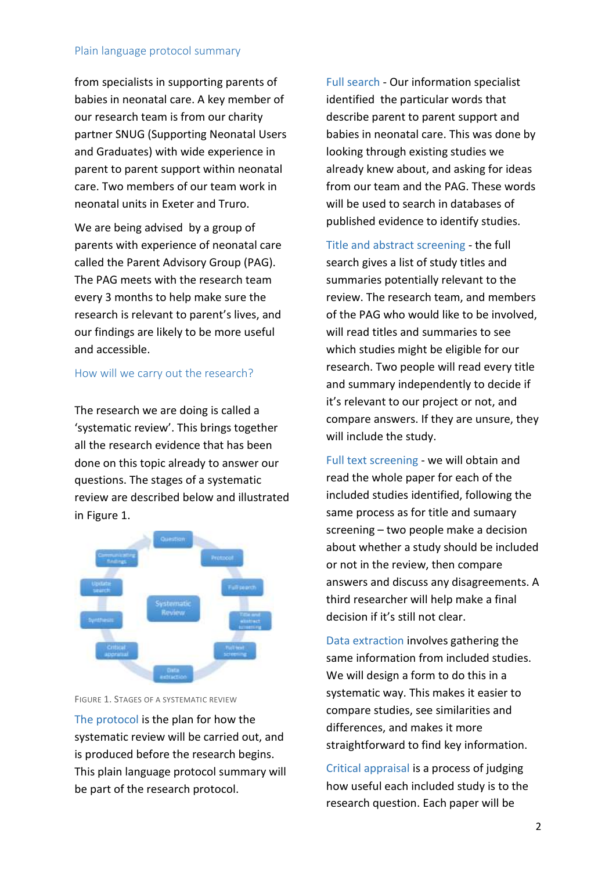### Plain language protocol summary

from specialists in supporting parents of babies in neonatal care. A key member of our research team is from our charity partner SNUG (Supporting Neonatal Users and Graduates) with wide experience in parent to parent support within neonatal care. Two members of our team work in neonatal units in Exeter and Truro.

We are being advised by a group of parents with experience of neonatal care called the Parent Advisory Group (PAG). The PAG meets with the research team every 3 months to help make sure the research is relevant to parent's lives, and our findings are likely to be more useful and accessible.

## How will we carry out the research?

The research we are doing is called a 'systematic review'. This brings together all the research evidence that has been done on this topic already to answer our questions. The stages of a systematic review are described below and illustrated in Figure 1.



FIGURE 1. STAGES OF A SYSTEMATIC REVIEW

The protocol is the plan for how the systematic review will be carried out, and is produced before the research begins. This plain language protocol summary will be part of the research protocol.

Full search - Our information specialist identified the particular words that describe parent to parent support and babies in neonatal care. This was done by looking through existing studies we already knew about, and asking for ideas from our team and the PAG. These words will be used to search in databases of published evidence to identify studies.

Title and abstract screening - the full search gives a list of study titles and summaries potentially relevant to the review. The research team, and members of the PAG who would like to be involved, will read titles and summaries to see which studies might be eligible for our research. Two people will read every title and summary independently to decide if it's relevant to our project or not, and compare answers. If they are unsure, they will include the study.

Full text screening - we will obtain and read the whole paper for each of the included studies identified, following the same process as for title and sumaary screening – two people make a decision about whether a study should be included or not in the review, then compare answers and discuss any disagreements. A third researcher will help make a final decision if it's still not clear.

Data extraction involves gathering the same information from included studies. We will design a form to do this in a systematic way. This makes it easier to compare studies, see similarities and differences, and makes it more straightforward to find key information.

Critical appraisal is a process of judging how useful each included study is to the research question. Each paper will be